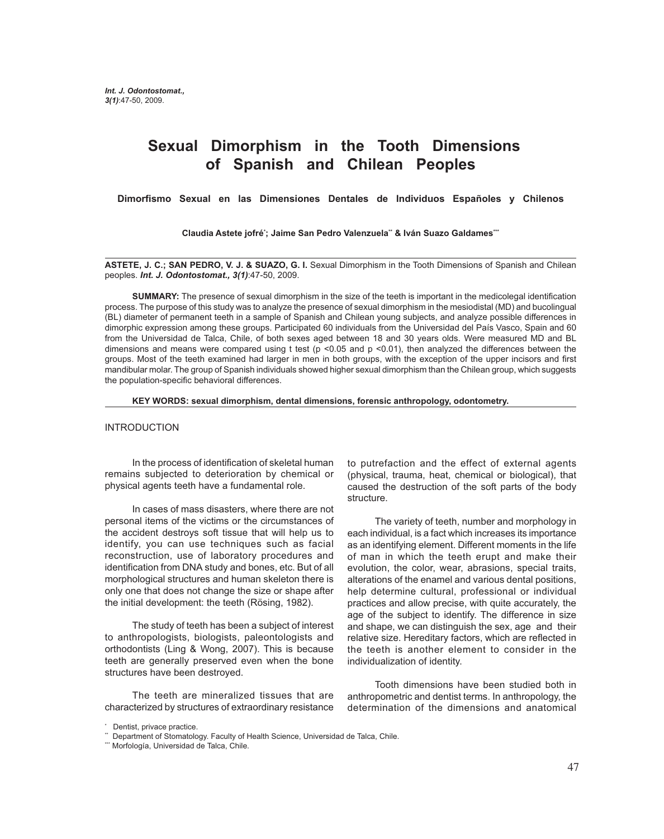# **Sexual Dimorphism in the Tooth Dimensions of Spanish and Chilean Peoples**

**Dimorfismo Sexual en las Dimensiones Dentales de Individuos Españoles y Chilenos**

**Claudia Astete jofré\* ; Jaime San Pedro Valenzuela\*\* & Iván Suazo Galdames\*\*\***

**ASTETE, J. C.; SAN PEDRO, V. J. & SUAZO, G. I.** Sexual Dimorphism in the Tooth Dimensions of Spanish and Chilean peoples. *Int. J. Odontostomat., 3(1)*:47-50, 2009.

**SUMMARY:** The presence of sexual dimorphism in the size of the teeth is important in the medicolegal identification process. The purpose of this study was to analyze the presence of sexual dimorphism in the mesiodistal (MD) and bucolingual (BL) diameter of permanent teeth in a sample of Spanish and Chilean young subjects, and analyze possible differences in dimorphic expression among these groups. Participated 60 individuals from the Universidad del País Vasco, Spain and 60 from the Universidad de Talca, Chile, of both sexes aged between 18 and 30 years olds. Were measured MD and BL dimensions and means were compared using t test ( $p$  <0.05 and  $p$  <0.01), then analyzed the differences between the groups. Most of the teeth examined had larger in men in both groups, with the exception of the upper incisors and first mandibular molar. The group of Spanish individuals showed higher sexual dimorphism than the Chilean group, which suggests the population-specific behavioral differences.

**KEY WORDS: sexual dimorphism, dental dimensions, forensic anthropology, odontometry.**

#### INTRODUCTION

In the process of identification of skeletal human remains subjected to deterioration by chemical or physical agents teeth have a fundamental role.

In cases of mass disasters, where there are not personal items of the victims or the circumstances of the accident destroys soft tissue that will help us to identify, you can use techniques such as facial reconstruction, use of laboratory procedures and identification from DNA study and bones, etc. But of all morphological structures and human skeleton there is only one that does not change the size or shape after the initial development: the teeth (Rösing, 1982).

The study of teeth has been a subject of interest to anthropologists, biologists, paleontologists and orthodontists (Ling & Wong, 2007). This is because teeth are generally preserved even when the bone structures have been destroyed.

The teeth are mineralized tissues that are characterized by structures of extraordinary resistance to putrefaction and the effect of external agents (physical, trauma, heat, chemical or biological), that caused the destruction of the soft parts of the body structure.

The variety of teeth, number and morphology in each individual, is a fact which increases its importance as an identifying element. Different moments in the life of man in which the teeth erupt and make their evolution, the color, wear, abrasions, special traits, alterations of the enamel and various dental positions, help determine cultural, professional or individual practices and allow precise, with quite accurately, the age of the subject to identify. The difference in size and shape, we can distinguish the sex, age and their relative size. Hereditary factors, which are reflected in the teeth is another element to consider in the individualization of identity.

Tooth dimensions have been studied both in anthropometric and dentist terms. In anthropology, the determination of the dimensions and anatomical

<sup>\*</sup> Dentist, privace practice.

<sup>\*\*</sup> Department of Stomatology. Faculty of Health Science, Universidad de Talca, Chile.

<sup>\*\*\*</sup> Morfología, Universidad de Talca, Chile.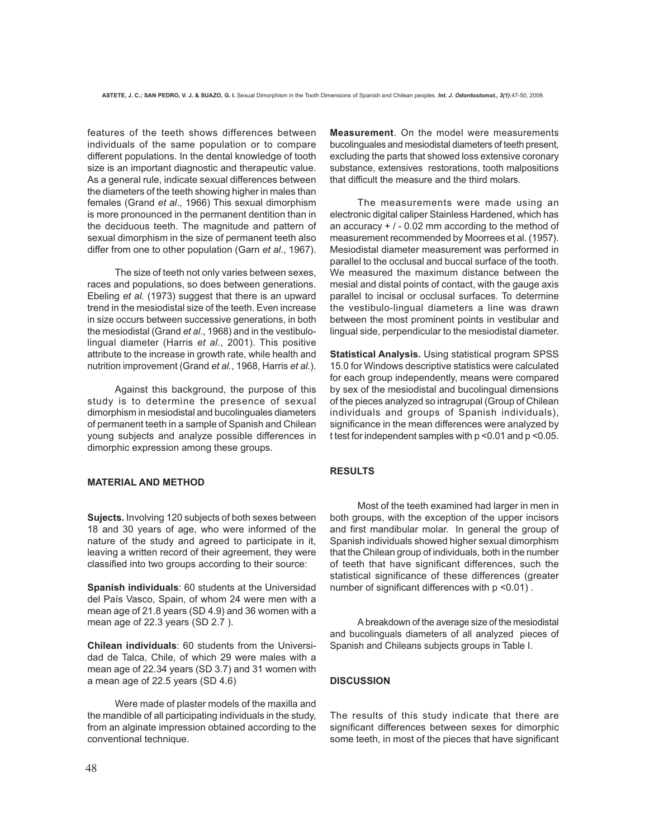features of the teeth shows differences between individuals of the same population or to compare different populations. In the dental knowledge of tooth size is an important diagnostic and therapeutic value. As a general rule, indicate sexual differences between the diameters of the teeth showing higher in males than females (Grand *et al*., 1966) This sexual dimorphism is more pronounced in the permanent dentition than in the deciduous teeth. The magnitude and pattern of sexual dimorphism in the size of permanent teeth also differ from one to other population (Garn *et al*., 1967).

The size of teeth not only varies between sexes, races and populations, so does between generations. Ebeling *et al.* (1973) suggest that there is an upward trend in the mesiodistal size of the teeth. Even increase in size occurs between successive generations, in both the mesiodistal (Grand *et al*., 1968) and in the vestibulolingual diameter (Harris *et al.*, 2001). This positive attribute to the increase in growth rate, while health and nutrition improvement (Grand *et al.*, 1968, Harris *et al.*).

Against this background, the purpose of this study is to determine the presence of sexual dimorphism in mesiodistal and bucolinguales diameters of permanent teeth in a sample of Spanish and Chilean young subjects and analyze possible differences in dimorphic expression among these groups.

## **MATERIAL AND METHOD**

**Sujects.** Involving 120 subjects of both sexes between 18 and 30 years of age, who were informed of the nature of the study and agreed to participate in it, leaving a written record of their agreement, they were classified into two groups according to their source:

**Spanish individuals**: 60 students at the Universidad del País Vasco, Spain, of whom 24 were men with a mean age of 21.8 years (SD 4.9) and 36 women with a mean age of 22.3 years (SD 2.7 ).

**Chilean individuals**: 60 students from the Universidad de Talca, Chile, of which 29 were males with a mean age of 22.34 years (SD 3.7) and 31 women with a mean age of 22.5 years (SD 4.6)

Were made of plaster models of the maxilla and the mandible of all participating individuals in the study, from an alginate impression obtained according to the conventional technique.

**Measurement**. On the model were measurements bucolinguales and mesiodistal diameters of teeth present, excluding the parts that showed loss extensive coronary substance, extensives restorations, tooth malpositions that difficult the measure and the third molars.

The measurements were made using an electronic digital caliper Stainless Hardened, which has an accuracy  $+$  / - 0.02 mm according to the method of measurement recommended by Moorrees et al. (1957). Mesiodistal diameter measurement was performed in parallel to the occlusal and buccal surface of the tooth. We measured the maximum distance between the mesial and distal points of contact, with the gauge axis parallel to incisal or occlusal surfaces. To determine the vestibulo-lingual diameters a line was drawn between the most prominent points in vestibular and lingual side, perpendicular to the mesiodistal diameter.

**Statistical Analysis.** Using statistical program SPSS 15.0 for Windows descriptive statistics were calculated for each group independently, means were compared by sex of the mesiodistal and bucolingual dimensions of the pieces analyzed so intragrupal (Group of Chilean individuals and groups of Spanish individuals), significance in the mean differences were analyzed by t test for independent samples with p <0.01 and p <0.05.

## **RESULTS**

Most of the teeth examined had larger in men in both groups, with the exception of the upper incisors and first mandibular molar. In general the group of Spanish individuals showed higher sexual dimorphism that the Chilean group of individuals, both in the number of teeth that have significant differences, such the statistical significance of these differences (greater number of significant differences with p <0.01) .

A breakdown of the average size of the mesiodistal and bucolinguals diameters of all analyzed pieces of Spanish and Chileans subjects groups in Table I.

## **DISCUSSION**

The results of this study indicate that there are significant differences between sexes for dimorphic some teeth, in most of the pieces that have significant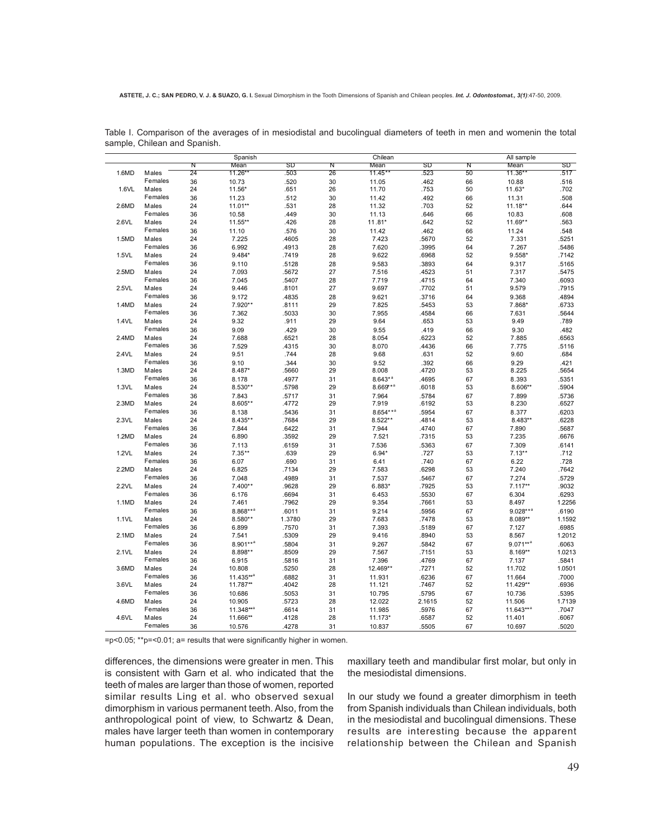|       |         | Spanish         |                       |                | Chilean         |                      |                 | All sample |                         |                 |
|-------|---------|-----------------|-----------------------|----------------|-----------------|----------------------|-----------------|------------|-------------------------|-----------------|
|       |         | N               | Mean                  | SD             | N               | Mean                 | SD              | N          | Mean                    | SD              |
| 1.6MD | Males   | $\overline{24}$ | 11.26**               | .503           | $\overline{26}$ | $11.45**$            | .523            | 50         | 11.36**                 | .517            |
|       | Females | 36              | 10.73                 | .520           | 30              | 11.05                | .462            | 66         | 10.88                   | .516            |
| 1.6VL | Males   | 24              | 11.56*                | .651           | 26              | 11.70                | .753            | 50         | 11.63*                  | .702            |
|       | Females | 36              | 11.23                 | .512           | 30              | 11.42                | .492            | 66         | 11.31                   | .508            |
| 2.6MD | Males   | 24              | $11.01***$            | .531           | 28              | 11.32                | .703            | 52         | $11.18**$               | .644            |
|       | Females | 36              | 10.58                 | .449           | 30              | 11.13                | .646            | 66         | 10.83                   | .608            |
| 2.6VL | Males   | 24              | 11.55**               | .426           | 28              | 11.81*               | .642            | 52         | 11.69**                 | .563            |
|       | Females | 36              | 11.10                 | .576           | 30              | 11.42                | .462            | 66         | 11.24                   | .548            |
| 1.5MD | Males   | 24              | 7.225                 | .4605          | 28              | 7.423                | .5670           | 52         | 7.331                   | .5251           |
|       | Females |                 |                       |                |                 |                      |                 |            |                         |                 |
| 1.5VL |         | 36              | 6.992                 | .4913          | 28              | 7.620                | .3995           | 64         | 7.267                   | .5486           |
|       | Males   | 24              | 9.484*                | .7419          | 28              | 9.622                | .6968           | 52         | $9.558*$                | .7142           |
|       | Females | 36              | 9.110                 | .5128          | 28              | 9.583                | .3893           | 64         | 9.317                   | .5165           |
| 2.5MD | Males   | 24              | 7.093                 | .5672          | 27              | 7.516                | .4523           | 51         | 7.317                   | .5475           |
|       | Females | 36              | 7.045                 | .5407          | 28              | 7.719                | .4715           | 64         | 7.340                   | .6093           |
| 2.5VL | Males   | 24              | 9.446                 | .8101          | 27              | 9.697                | .7702           | 51         | 9.579                   | .7915           |
|       | Females | 36              | 9.172                 | .4835          | 28              | 9.621                | .3716           | 64         | 9.368                   | .4894           |
| 1.4MD | Males   | 24              | 7.920**               | .8111          | 29              | 7.825                | .5453           | 53         | 7.868*                  | .6733           |
|       | Females | 36              | 7.362                 | .5033          | 30              | 7.955                | .4584           | 66         | 7.631                   | .5644           |
| 1.4VL | Males   | 24              | 9.32                  | .911           | 29              | 9.64                 | .653            | 53         | 9.49                    | .789            |
|       | Females | 36              | 9.09                  | .429           | 30              | 9.55                 | .419            | 66         | 9.30                    | .482            |
| 2.4MD | Males   | 24              | 7.688                 | .6521          | 28              | 8.054                | .6223           | 52         | 7.885                   | .6563           |
|       | Females | 36              | 7.529                 | .4315          | 30              | 8.070                | .4436           | 66         | 7.775                   | .5116           |
| 2.4VL | Males   | 24              | 9.51                  | .744           | 28              | 9.68                 | .631            | 52         | 9.60                    | .684            |
|       | Females | 36              | 9.10                  | .344           | 30              | 9.52                 | .392            | 66         | 9.29                    | .421            |
| 1.3MD | Males   | 24              | 8.487*                | .5660          | 29              | 8.008                | .4720           | 53         | 8.225                   | .5654           |
|       | Females | 36              | 8.178                 | .4977          | 31              | $8.643**$            | .4695           | 67         | 8.393                   | .5351           |
| 1.3VL | Males   | 24              | 8.530**               | .5798          | 29              | 8.669**              | .6018           | 53         | 8.606**                 | .5904           |
|       | Females |                 |                       |                |                 |                      |                 | 67         |                         |                 |
| 2.3MD | Males   | 36<br>24        | 7.843<br>8.605**      | .5717<br>.4772 | 31<br>29        | 7.964<br>7.919       | .5784<br>.6192  | 53         | 7.899<br>8.230          | .5736<br>.6527  |
|       | Females |                 |                       |                |                 |                      |                 |            |                         |                 |
|       |         | 36              | 8.138                 | .5436          | 31              | 8.654** <sup>a</sup> | .5954           | 67         | 8.377                   | .6203           |
| 2.3VL | Males   | 24              | 8.435**               | .7684          | 29              | 8.522**              | .4814           | 53         | 8.483**                 | .6228           |
|       | Females | 36              | 7.844                 | .6422          | 31              | 7.944                | .4740           | 67         | 7.890                   | .5687           |
| 1.2MD | Males   | 24              | 6.890                 | .3592          | 29              | 7.521                | .7315           | 53         | 7.235                   | .6676           |
|       | Females | 36              | 7.113                 | .6159          | 31              | 7.536                | .5363           | 67         | 7.309                   | .6141           |
| 1.2VL | Males   | 24              | $7.35**$              | .639           | 29              | $6.94*$              | .727            | 53         | $7.13***$               | .712            |
|       | Females | 36              | 6.07                  | .690           | 31              | 6.41                 | .740            | 67         | 6.22                    | .728            |
| 2.2MD | Males   | 24              | 6.825                 | .7134          | 29              | 7.583                | .6298           | 53         | 7.240                   | .7642           |
|       | Females | 36              | 7.048                 | .4989          | 31              | 7.537                | .5467           | 67         | 7.274                   | .5729           |
| 2.2VL | Males   | 24              | 7.400**               | .9628          | 29              | 6.883*               | .7925           | 53         | $7.117**$               | .9032           |
|       | Females | 36              | 6.176                 | .6694          | 31              | 6.453                | .5530           | 67         | 6.304                   | .6293           |
| 1.1MD | Males   | 24              | 7.461                 | .7962          | 29              | 9.354                | .7661           | 53         | 8.497                   | 1.2256          |
|       | Females | 36              | 8.868** <sup>a</sup>  | .6011          | 31              | 9.214                | .5956           | 67         | $9.028***$              | .6190           |
| 1.1VL | Males   | 24              | 8.580**               | 1.3780         | 29              | 7.683                | .7478           | 53         | 8.089**                 | 1.1592          |
|       | Females | 36              | 6.899                 | .7570          | 31              | 7.393                | .5189           | 67         | 7.127                   | .6985           |
| 2.1MD | Males   | 24              | 7.541                 | .5309          | 29              | 9.416                | .8940           | 53         | 8.567                   | 1.2012          |
|       | Females | 36              | 8.901** <sup>a</sup>  | .5804          | 31              | 9.267                | .5842           | 67         | $9.071***$ <sup>a</sup> | .6063           |
| 2.1VL | Males   | 24              | 8.898**               | .8509          | 29              | 7.567                | .7151           | 53         | 8.169**                 | 1.0213          |
|       | Females | 36              | 6.915                 | .5816          | 31              | 7.396                | .4769           | 67         | 7.137                   | .5841           |
| 3.6MD | Males   | 24              | 10.808                | .5250          | 28              | 12.469**             | .7271           | 52         | 11.702                  | 1.0501          |
|       | Females | 36              | 11.435** <sup>a</sup> | .6882          | 31              | 11.931               | .6236           | 67         | 11.664                  | .7000           |
| 3.6VL | Males   | 24              | 11.787**              | .4042          | 28              | 11.121               | .7467           | 52         | 11.429**                | .6936           |
|       | Females | 36              | 10.686                | .5053          | 31              | 10.795               |                 | 67         | 10.736                  |                 |
| 4.6MD | Males   | 24              |                       |                |                 |                      | .5795<br>2.1615 | 52         | 11.506                  | .5395<br>1.7139 |
|       | Females |                 | 10.905                | .5723          | 28              | 12.022               |                 |            |                         |                 |
|       |         | 36              | 11.348** <sup>a</sup> | .6614          | 31              | 11.985               | .5976           | 67         | 11.643** <sup>a</sup>   | .7047           |
| 4.6VL | Males   | 24              | 11.666**              | .4128          | 28              | 11.173*              | .6587           | 52         | 11.401                  | .6067           |
|       | Females | 36              | 10.576                | .4278          | 31              | 10.837               | 5505            | 67         | 10.697                  | 5020            |

Table I. Comparison of the averages of in mesiodistal and bucolingual diameters of teeth in men and womenin the total sample, Chilean and Spanish.

=p<0.05; \*\*p=<0.01; a= results that were significantly higher in women.

differences, the dimensions were greater in men. This is consistent with Garn et al. who indicated that the teeth of males are larger than those of women, reported similar results Ling et al. who observed sexual dimorphism in various permanent teeth. Also, from the anthropological point of view, to Schwartz & Dean, males have larger teeth than women in contemporary human populations. The exception is the incisive maxillary teeth and mandibular first molar, but only in the mesiodistal dimensions.

In our study we found a greater dimorphism in teeth from Spanish individuals than Chilean individuals, both in the mesiodistal and bucolingual dimensions. These results are interesting because the apparent relationship between the Chilean and Spanish